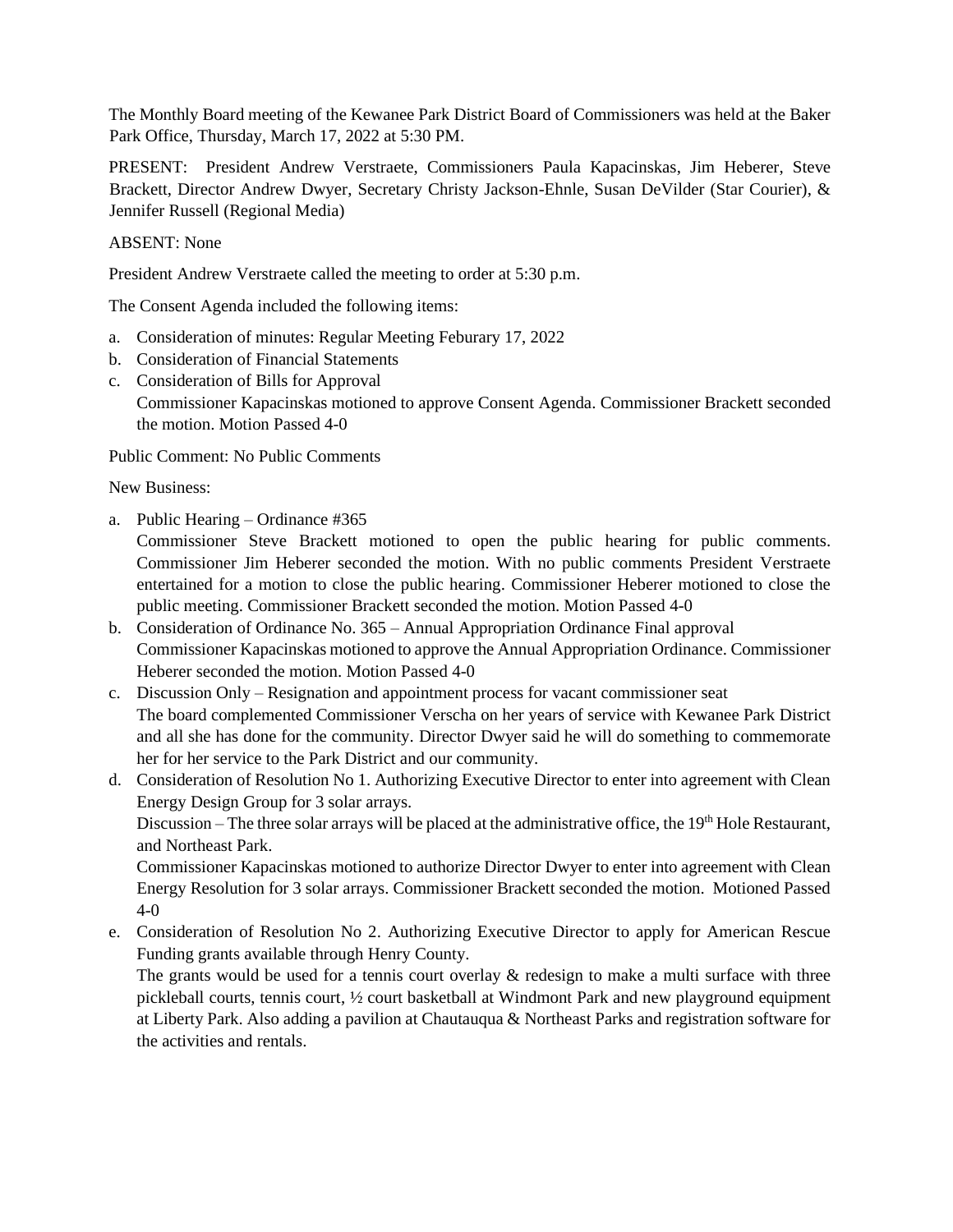The Monthly Board meeting of the Kewanee Park District Board of Commissioners was held at the Baker Park Office, Thursday, March 17, 2022 at 5:30 PM.

PRESENT: President Andrew Verstraete, Commissioners Paula Kapacinskas, Jim Heberer, Steve Brackett, Director Andrew Dwyer, Secretary Christy Jackson-Ehnle, Susan DeVilder (Star Courier), & Jennifer Russell (Regional Media)

## ABSENT: None

President Andrew Verstraete called the meeting to order at 5:30 p.m.

The Consent Agenda included the following items:

- a. Consideration of minutes: Regular Meeting Feburary 17, 2022
- b. Consideration of Financial Statements
- c. Consideration of Bills for Approval Commissioner Kapacinskas motioned to approve Consent Agenda. Commissioner Brackett seconded the motion. Motion Passed 4-0

Public Comment: No Public Comments

New Business:

a. Public Hearing – Ordinance #365

Commissioner Steve Brackett motioned to open the public hearing for public comments. Commissioner Jim Heberer seconded the motion. With no public comments President Verstraete entertained for a motion to close the public hearing. Commissioner Heberer motioned to close the public meeting. Commissioner Brackett seconded the motion. Motion Passed 4-0

- b. Consideration of Ordinance No. 365 Annual Appropriation Ordinance Final approval Commissioner Kapacinskas motioned to approve the Annual Appropriation Ordinance. Commissioner Heberer seconded the motion. Motion Passed 4-0
- c. Discussion Only Resignation and appointment process for vacant commissioner seat The board complemented Commissioner Verscha on her years of service with Kewanee Park District and all she has done for the community. Director Dwyer said he will do something to commemorate her for her service to the Park District and our community.
- d. Consideration of Resolution No 1. Authorizing Executive Director to enter into agreement with Clean Energy Design Group for 3 solar arrays.

Discussion – The three solar arrays will be placed at the administrative office, the 19<sup>th</sup> Hole Restaurant, and Northeast Park.

Commissioner Kapacinskas motioned to authorize Director Dwyer to enter into agreement with Clean Energy Resolution for 3 solar arrays. Commissioner Brackett seconded the motion. Motioned Passed 4-0

e. Consideration of Resolution No 2. Authorizing Executive Director to apply for American Rescue Funding grants available through Henry County.

The grants would be used for a tennis court overlay & redesign to make a multi surface with three pickleball courts, tennis court, ½ court basketball at Windmont Park and new playground equipment at Liberty Park. Also adding a pavilion at Chautauqua & Northeast Parks and registration software for the activities and rentals.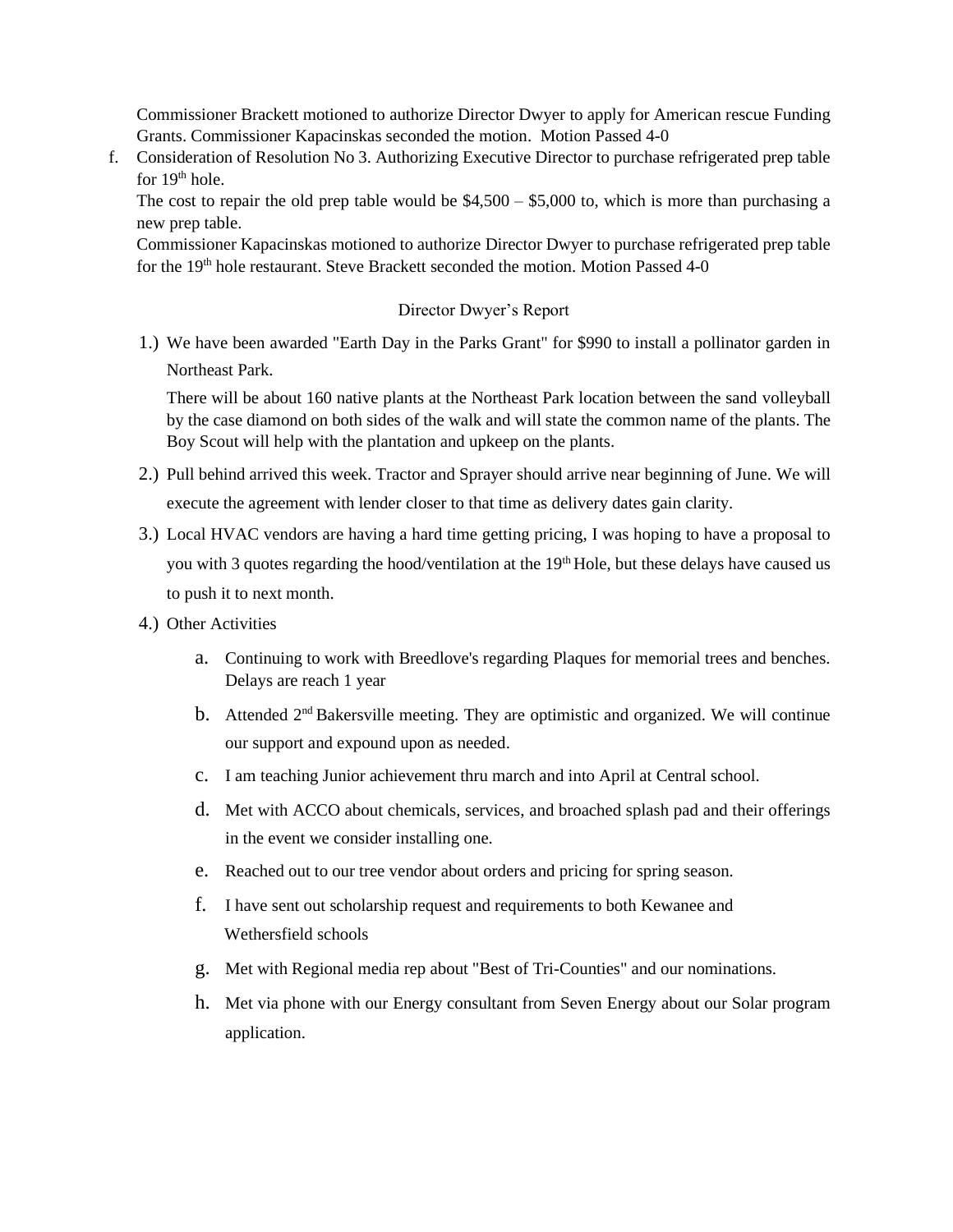Commissioner Brackett motioned to authorize Director Dwyer to apply for American rescue Funding Grants. Commissioner Kapacinskas seconded the motion. Motion Passed 4-0

f. Consideration of Resolution No 3. Authorizing Executive Director to purchase refrigerated prep table for 19<sup>th</sup> hole.

The cost to repair the old prep table would be  $$4,500 - $5,000$  to, which is more than purchasing a new prep table.

Commissioner Kapacinskas motioned to authorize Director Dwyer to purchase refrigerated prep table for the 19<sup>th</sup> hole restaurant. Steve Brackett seconded the motion. Motion Passed 4-0

## Director Dwyer's Report

1.) We have been awarded "Earth Day in the Parks Grant" for \$990 to install a pollinator garden in Northeast Park.

There will be about 160 native plants at the Northeast Park location between the sand volleyball by the case diamond on both sides of the walk and will state the common name of the plants. The Boy Scout will help with the plantation and upkeep on the plants.

- 2.) Pull behind arrived this week. Tractor and Sprayer should arrive near beginning of June. We will execute the agreement with lender closer to that time as delivery dates gain clarity.
- 3.) Local HVAC vendors are having a hard time getting pricing, I was hoping to have a proposal to you with 3 quotes regarding the hood/ventilation at the 19<sup>th</sup> Hole, but these delays have caused us to push it to next month.
- 4.) Other Activities
	- a. Continuing to work with Breedlove's regarding Plaques for memorial trees and benches. Delays are reach 1 year
	- b. Attended  $2<sup>nd</sup>$  Bakersville meeting. They are optimistic and organized. We will continue our support and expound upon as needed.
	- c. I am teaching Junior achievement thru march and into April at Central school.
	- d. Met with ACCO about chemicals, services, and broached splash pad and their offerings in the event we consider installing one.
	- e. Reached out to our tree vendor about orders and pricing for spring season.
	- f. I have sent out scholarship request and requirements to both Kewanee and Wethersfield schools
	- g. Met with Regional media rep about "Best of Tri-Counties" and our nominations.
	- h. Met via phone with our Energy consultant from Seven Energy about our Solar program application.